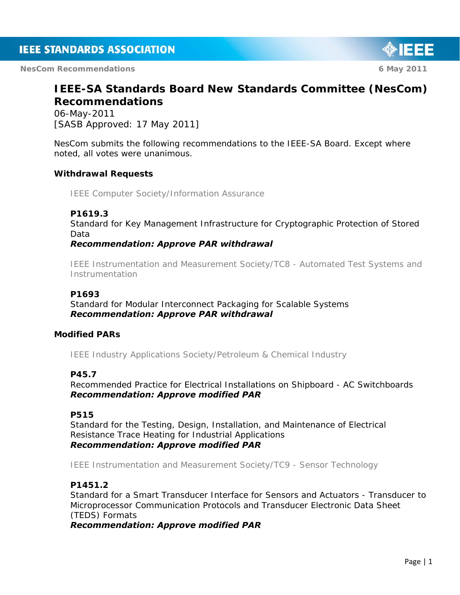**NesCom Recommendations 6 May 2011 6 May 2011** 

# IEEE

# **IEEE-SA Standards Board New Standards Committee (NesCom) Recommendations**

06-May-2011 [SASB Approved: 17 May 2011]

NesCom submits the following recommendations to the IEEE-SA Board. Except where noted, all votes were unanimous.

# **Withdrawal Requests**

*IEEE Computer Society/Information Assurance* 

# **P1619.3**

Standard for Key Management Infrastructure for Cryptographic Protection of Stored Data

#### *Recommendation: Approve PAR withdrawal*

*IEEE Instrumentation and Measurement Society/TC8 - Automated Test Systems and Instrumentation* 

#### **P1693**

Standard for Modular Interconnect Packaging for Scalable Systems *Recommendation: Approve PAR withdrawal* 

#### **Modified PARs**

*IEEE Industry Applications Society/Petroleum & Chemical Industry* 

#### **P45.7**

Recommended Practice for Electrical Installations on Shipboard - AC Switchboards *Recommendation: Approve modified PAR* 

#### **P515**

Standard for the Testing, Design, Installation, and Maintenance of Electrical Resistance Trace Heating for Industrial Applications *Recommendation: Approve modified PAR* 

*IEEE Instrumentation and Measurement Society/TC9 - Sensor Technology* 

#### **P1451.2**

Standard for a Smart Transducer Interface for Sensors and Actuators - Transducer to Microprocessor Communication Protocols and Transducer Electronic Data Sheet (TEDS) Formats

*Recommendation: Approve modified PAR*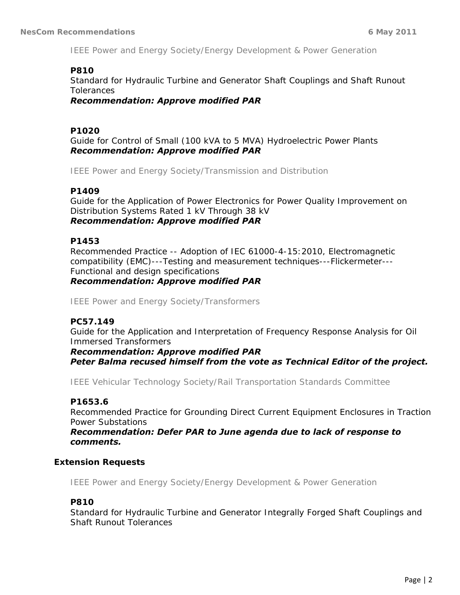*IEEE Power and Energy Society/Energy Development & Power Generation* 

#### **P810**

Standard for Hydraulic Turbine and Generator Shaft Couplings and Shaft Runout **Tolerances** 

*Recommendation: Approve modified PAR* 

# **P1020**

Guide for Control of Small (100 kVA to 5 MVA) Hydroelectric Power Plants *Recommendation: Approve modified PAR* 

*IEEE Power and Energy Society/Transmission and Distribution* 

#### **P1409**

Guide for the Application of Power Electronics for Power Quality Improvement on Distribution Systems Rated 1 kV Through 38 kV *Recommendation: Approve modified PAR* 

#### **P1453**

Recommended Practice -- Adoption of IEC 61000-4-15:2010, Electromagnetic compatibility (EMC)---Testing and measurement techniques---Flickermeter--- Functional and design specifications

#### *Recommendation: Approve modified PAR*

*IEEE Power and Energy Society/Transformers* 

# **PC57.149**

Guide for the Application and Interpretation of Frequency Response Analysis for Oil Immersed Transformers

*Recommendation: Approve modified PAR Peter Balma recused himself from the vote as Technical Editor of the project.* 

*IEEE Vehicular Technology Society/Rail Transportation Standards Committee* 

#### **P1653.6**

Recommended Practice for Grounding Direct Current Equipment Enclosures in Traction Power Substations

*Recommendation: Defer PAR to June agenda due to lack of response to comments.* 

# **Extension Requests**

*IEEE Power and Energy Society/Energy Development & Power Generation* 

#### **P810**

Standard for Hydraulic Turbine and Generator Integrally Forged Shaft Couplings and Shaft Runout Tolerances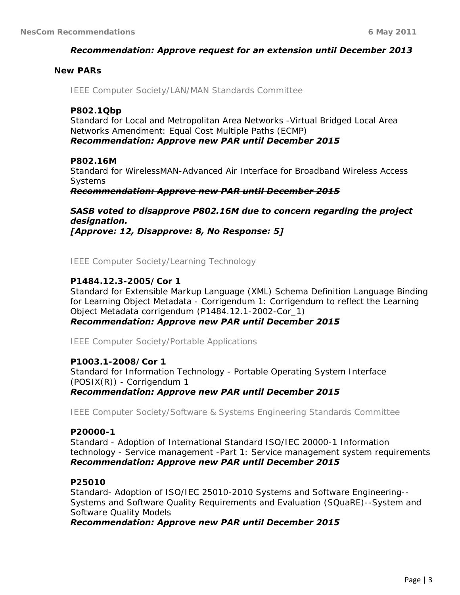#### *Recommendation: Approve request for an extension until December 2013*

#### **New PARs**

*IEEE Computer Society/LAN/MAN Standards Committee* 

#### **P802.1Qbp**

Standard for Local and Metropolitan Area Networks -Virtual Bridged Local Area Networks Amendment: Equal Cost Multiple Paths (ECMP) *Recommendation: Approve new PAR until December 2015* 

#### **P802.16M**

Standard for WirelessMAN-Advanced Air Interface for Broadband Wireless Access Systems

*Recommendation: Approve new PAR until December 2015*

*SASB voted to disapprove P802.16M due to concern regarding the project designation. [Approve: 12, Disapprove: 8, No Response: 5]* 

*IEEE Computer Society/Learning Technology* 

#### **P1484.12.3-2005/Cor 1**

Standard for Extensible Markup Language (XML) Schema Definition Language Binding for Learning Object Metadata - Corrigendum 1: Corrigendum to reflect the Learning Object Metadata corrigendum (P1484.12.1-2002-Cor\_1)

*Recommendation: Approve new PAR until December 2015* 

*IEEE Computer Society/Portable Applications* 

#### **P1003.1-2008/Cor 1**

Standard for Information Technology - Portable Operating System Interface (POSIX(R)) - Corrigendum 1 *Recommendation: Approve new PAR until December 2015* 

*IEEE Computer Society/Software & Systems Engineering Standards Committee* 

#### **P20000-1**

Standard - Adoption of International Standard ISO/IEC 20000-1 Information technology - Service management -Part 1: Service management system requirements *Recommendation: Approve new PAR until December 2015* 

#### **P25010**

Standard- Adoption of ISO/IEC 25010-2010 Systems and Software Engineering-- Systems and Software Quality Requirements and Evaluation (SQuaRE)--System and Software Quality Models

*Recommendation: Approve new PAR until December 2015*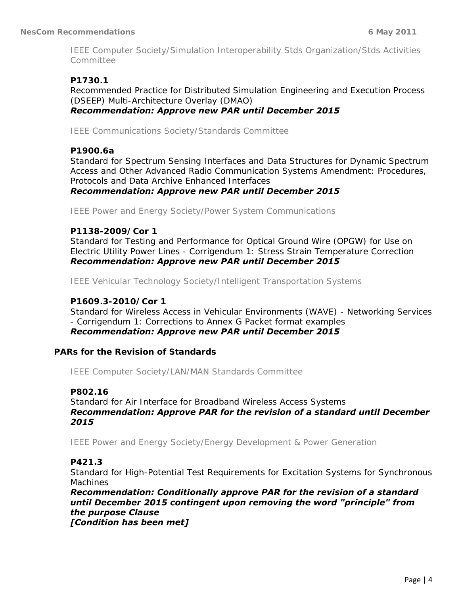*IEEE Computer Society/Simulation Interoperability Stds Organization/Stds Activities Committee* 

# **P1730.1**

Recommended Practice for Distributed Simulation Engineering and Execution Process (DSEEP) Multi-Architecture Overlay (DMAO) *Recommendation: Approve new PAR until December 2015* 

*IEEE Communications Society/Standards Committee* 

#### **P1900.6a**

Standard for Spectrum Sensing Interfaces and Data Structures for Dynamic Spectrum Access and Other Advanced Radio Communication Systems Amendment: Procedures, Protocols and Data Archive Enhanced Interfaces

*Recommendation: Approve new PAR until December 2015* 

*IEEE Power and Energy Society/Power System Communications* 

#### **P1138-2009/Cor 1**

Standard for Testing and Performance for Optical Ground Wire (OPGW) for Use on Electric Utility Power Lines - Corrigendum 1: Stress Strain Temperature Correction *Recommendation: Approve new PAR until December 2015* 

*IEEE Vehicular Technology Society/Intelligent Transportation Systems* 

#### **P1609.3-2010/Cor 1**

Standard for Wireless Access in Vehicular Environments (WAVE) - Networking Services - Corrigendum 1: Corrections to Annex G Packet format examples *Recommendation: Approve new PAR until December 2015* 

#### **PARs for the Revision of Standards**

*IEEE Computer Society/LAN/MAN Standards Committee* 

#### **P802.16**

Standard for Air Interface for Broadband Wireless Access Systems *Recommendation: Approve PAR for the revision of a standard until December 2015* 

*IEEE Power and Energy Society/Energy Development & Power Generation* 

#### **P421.3**

Standard for High-Potential Test Requirements for Excitation Systems for Synchronous Machines

*Recommendation: Conditionally approve PAR for the revision of a standard until December 2015 contingent upon removing the word "principle" from the purpose Clause [Condition has been met]*